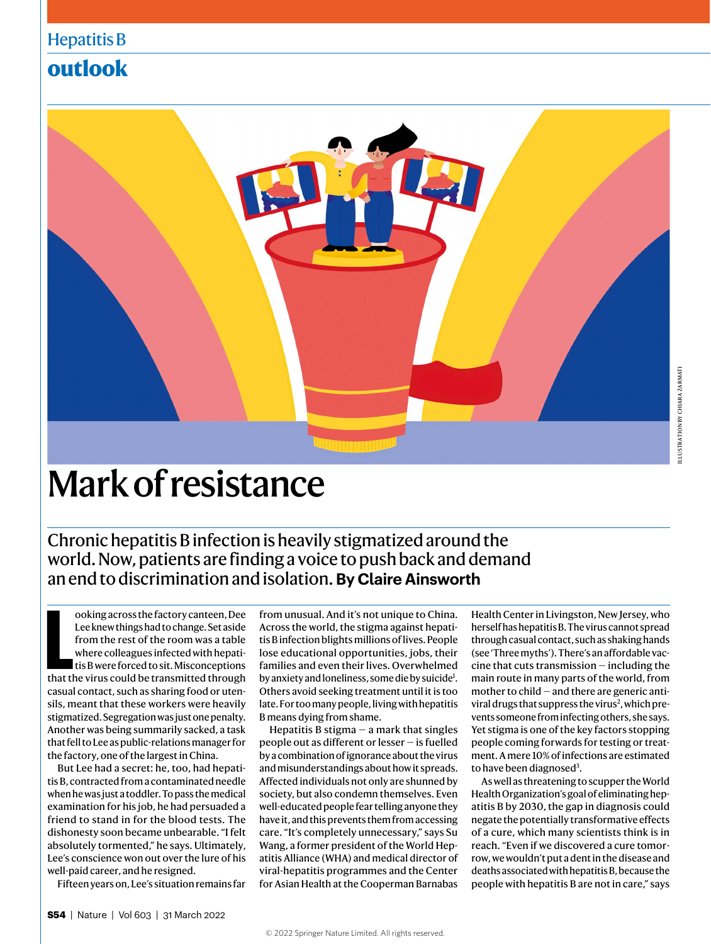## Hepatitis B

# **outlook**



# Mark of resistance

Chronic hepatitis B infection is heavily stigmatized around the world. Now, patients are finding a voice to push back and demand an end to discrimination and isolation. **By Claire Ainsworth**

ooking across the factory canteen, Dee<br>
Lee knew things had to change. Set aside<br>
from the rest of the room was a table<br>
where colleagues infected with hepati-<br>
tis B were forced to sit. Misconceptions<br>
that the virus coul ooking across the factory canteen, Dee Lee knew things had to change. Set aside from the rest of the room was a table where colleagues infected with hepatitis B were forced to sit. Misconceptions casual contact, such as sharing food or utensils, meant that these workers were heavily stigmatized. Segregation was just one penalty. Another was being summarily sacked, a task that fell to Lee as public-relations manager for the factory, one of the largest in China.

But Lee had a secret: he, too, had hepatitis B, contracted from a contaminated needle when he was just a toddler. To pass the medical examination for his job, he had persuaded a friend to stand in for the blood tests. The dishonesty soon became unbearable. "I felt absolutely tormented," he says. Ultimately, Lee's conscience won out over the lure of his well-paid career, and he resigned.

Fifteen years on, Lee's situation remains far

from unusual. And it's not unique to China. Across the world, the stigma against hepatitis B infection blights millions of lives. People lose educational opportunities, jobs, their families and even their lives. Overwhelmed by anxiety and loneliness, some die by suicide<sup>1</sup>. Others avoid seeking treatment until it is too late. For too many people, living with hepatitis B means dying from shame.

Hepatitis B stigma  $-$  a mark that singles people out as different or lesser — is fuelled by a combination of ignorance about the virus and misunderstandings about how it spreads. Affected individuals not only are shunned by society, but also condemn themselves. Even well-educated people fear telling anyone they have it, and this prevents them from accessing care. "It's completely unnecessary," says Su Wang, a former president of the World Hepatitis Alliance (WHA) and medical director of viral-hepatitis programmes and the Center for Asian Health at the Cooperman Barnabas

Health Center in Livingston, New Jersey, who herself has hepatitis B. The virus cannot spread through casual contact, such as shaking hands (see 'Three myths'). There's an affordable vaccine that cuts transmission — including the main route in many parts of the world, from mother to child — and there are generic antiviral drugs that suppress the virus<sup>2</sup>, which prevents someone from infecting others, she says. Yet stigma is one of the key factors stopping people coming forwards for testing or treatment. A mere 10% of infections are estimated to have been diagnosed<sup>3</sup>.

As well as threatening to scupper the World Health Organization's goal of eliminating hepatitis B by 2030, the gap in diagnosis could negate the potentially transformative effects of a cure, which many scientists think is in reach. "Even if we discovered a cure tomorrow, we wouldn't put a dent in the disease and deaths associated with hepatitis B, because the people with hepatitis B are not in care," says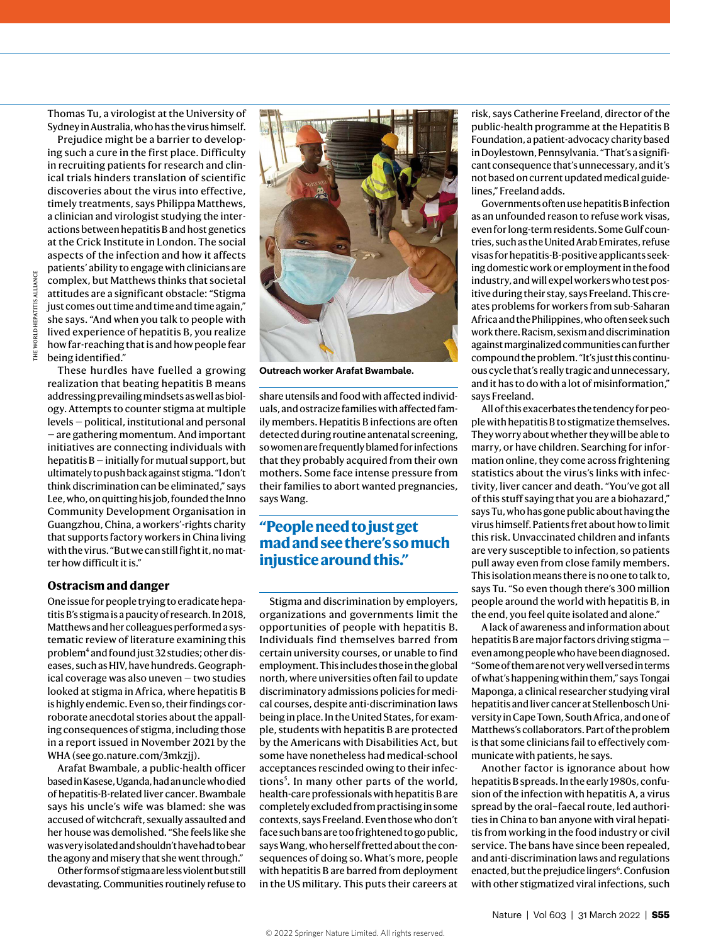Thomas Tu, a virologist at the University of Sydney in Australia, who has the virus himself.

Prejudice might be a barrier to developing such a cure in the first place. Difficulty in recruiting patients for research and clinical trials hinders translation of scientific discoveries about the virus into effective, timely treatments, says Philippa Matthews, a clinician and virologist studying the interactions between hepatitis B and host genetics at the Crick Institute in London. The social aspects of the infection and how it affects patients' ability to engage with clinicians are complex, but Matthews thinks that societal attitudes are a significant obstacle: "Stigma just comes out time and time and time again," she says. "And when you talk to people with lived experience of hepatitis B, you realize how far-reaching that is and how people fear being identified."

These hurdles have fuelled a growing realization that beating hepatitis B means addressing prevailing mindsets as well as biology. Attempts to counter stigma at multiple levels — political, institutional and personal — are gathering momentum. And important initiatives are connecting individuals with hepatitis  $B$  – initially for mutual support, but ultimately to push back against stigma. "I don't think discrimination can be eliminated," says Lee, who, on quitting his job, founded the Inno Community Development Organisation in Guangzhou, China, a workers'-rights charity that supports factory workers in China living with the virus. "But we can still fight it, no matter how difficult it is."

#### **Ostracism and danger**

One issue for people trying to eradicate hepatitis B's stigma is a paucity of research. In 2018, Matthews and her colleagues performed a systematic review of literature examining this problem<sup>4</sup> and found just 32 studies; other diseases, such as HIV, have hundreds. Geographical coverage was also uneven — two studies looked at stigma in Africa, where hepatitis B is highly endemic. Even so, their findings corroborate anecdotal stories about the appalling consequences of stigma, including those in a report issued in November 2021 by the WHA (see go.nature.com/3mkzjj).

Arafat Bwambale, a public-health officer based in Kasese, Uganda, had an uncle who died of hepatitis-B-related liver cancer. Bwambale says his uncle's wife was blamed: she was accused of witchcraft, sexually assaulted and her house was demolished. "She feels like she was very isolated and shouldn't have had to bear the agony and misery that she went through."

Other forms of stigma are less violent but still devastating. Communities routinely refuse to



**Outreach worker Arafat Bwambale.**

share utensils and food with affected individuals, and ostracize families with affected family members. Hepatitis B infections are often detected during routine antenatal screening, so women are frequently blamed for infections that they probably acquired from their own mothers. Some face intense pressure from their families to abort wanted pregnancies, says Wang.

#### **"People need to just get mad and see there's so much injustice around this."**

Stigma and discrimination by employers, organizations and governments limit the opportunities of people with hepatitis B. Individuals find themselves barred from certain university courses, or unable to find employment. This includes those in the global north, where universities often fail to update discriminatory admissions policies for medical courses, despite anti-discrimination laws being in place. In the United States, for example, students with hepatitis B are protected by the Americans with Disabilities Act, but some have nonetheless had medical-school acceptances rescinded owing to their infections<sup>5</sup>. In many other parts of the world, health-care professionals with hepatitis B are completely excluded from practising in some contexts, says Freeland. Even those who don't face such bans are too frightened to go public, says Wang, who herself fretted about the consequences of doing so. What's more, people with hepatitis B are barred from deployment in the US military. This puts their careers at risk, says Catherine Freeland, director of the public-health programme at the Hepatitis B Foundation, a patient-advocacy charity based in Doylestown, Pennsylvania. "That's a significant consequence that's unnecessary, and it's not based on current updated medical guidelines," Freeland adds.

Governments often use hepatitis B infection as an unfounded reason to refuse work visas, even for long-term residents. Some Gulf countries, such as the United Arab Emirates, refuse visas for hepatitis-B-positive applicants seeking domestic work or employment in the food industry, and will expel workers who test positive during their stay, says Freeland. This creates problems for workers from sub-Saharan Africa and the Philippines, who often seek such work there. Racism, sexism and discrimination against marginalized communities can further compound the problem. "It's just this continuous cycle that's really tragic and unnecessary, and it has to do with a lot of misinformation," says Freeland.

All of this exacerbates the tendency for people with hepatitis B to stigmatize themselves. They worry about whether they will be able to marry, or have children. Searching for information online, they come across frightening statistics about the virus's links with infectivity, liver cancer and death. "You've got all of this stuff saying that you are a biohazard," says Tu, who has gone public about having the virus himself. Patients fret about how to limit this risk. Unvaccinated children and infants are very susceptible to infection, so patients pull away even from close family members. This isolation means there is no one to talk to, says Tu. "So even though there's 300 million people around the world with hepatitis B, in the end, you feel quite isolated and alone."

A lack of awareness and information about hepatitis B are major factors driving stigma even among people who have been diagnosed. "Some of them are not very well versed in terms of what's happening within them," says Tongai Maponga, a clinical researcher studying viral hepatitis and liver cancer at Stellenbosch University in Cape Town, South Africa, and one of Matthews's collaborators. Part of the problem is that some clinicians fail to effectively communicate with patients, he says.

Another factor is ignorance about how hepatitis B spreads. In the early 1980s, confusion of the infection with hepatitis A, a virus spread by the oral–faecal route, led authorities in China to ban anyone with viral hepatitis from working in the food industry or civil service. The bans have since been repealed, and anti-discrimination laws and regulations enacted, but the prejudice lingers<sup>6</sup>. Confusion with other stigmatized viral infections, such